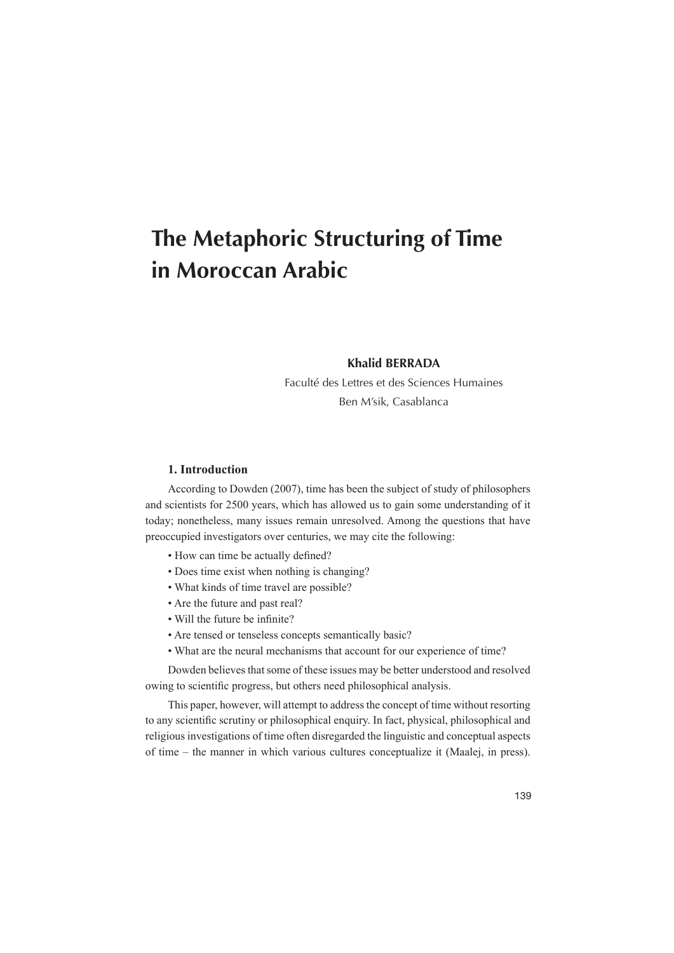# **The Metaphoric Structuring of Time in Moroccan Arabic**

# **Khalid BERRADA**

Faculté des Lettres et des Sciences Humaines Ben M'sik, Casablanca

# **Introduction 1.**

According to Dowden (2007), time has been the subject of study of philosophers and scientists for 2500 years, which has allowed us to gain some understanding of it today; nonetheless, many issues remain unresolved. Among the questions that have preoccupied investigators over centuries, we may cite the following:

- How can time be actually defined?
- Does time exist when nothing is changing?
- What kinds of time travel are possible?
- Are the future and past real?
- Will the future be infinite?
- Are tensed or tenseless concepts semantically basic?
- What are the neural mechanisms that account for our experience of time?

Dowden believes that some of these issues may be better understood and resolved owing to scientific progress, but others need philosophical analysis.

This paper, however, will attempt to address the concept of time without resorting to any scientific scrutiny or philosophical enquiry. In fact, physical, philosophical and religious investigations of time often disregarded the linguistic and conceptual aspects  $of time - the manner in which various cultures conceptualize it (Maalej, in press).$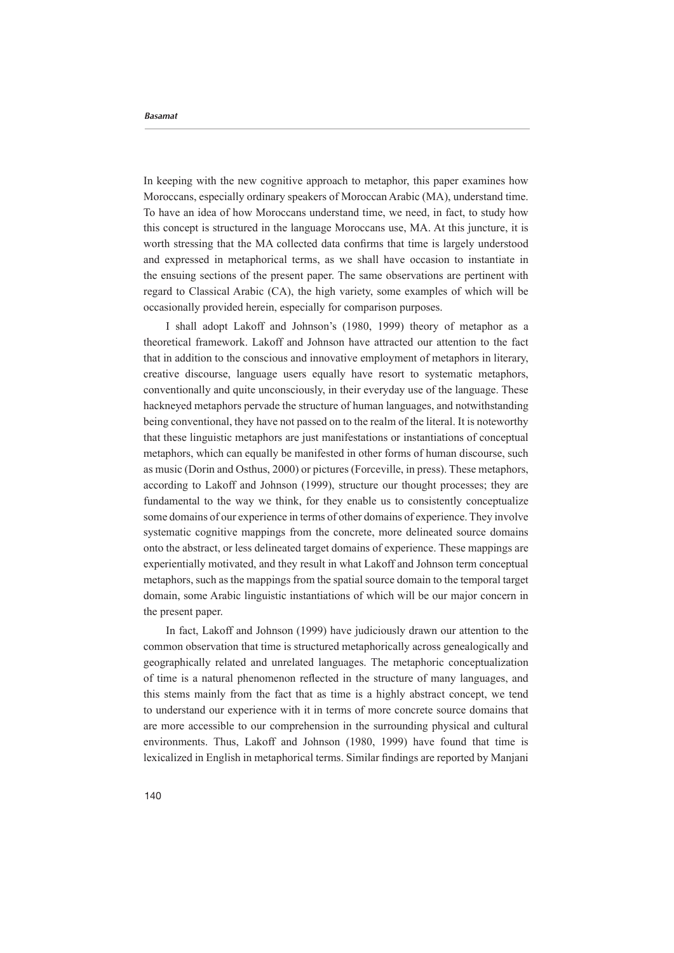In keeping with the new cognitive approach to metaphor, this paper examines how Moroccans, especially ordinary speakers of Moroccan Arabic (MA), understand time. To have an idea of how Moroccans understand time, we need, in fact, to study how this concept is structured in the language Moroccans use, MA. At this juncture, it is worth stressing that the MA collected data confirms that time is largely understood and expressed in metaphorical terms, as we shall have occasion to instantiate in the ensuing sections of the present paper. The same observations are pertinent with regard to Classical Arabic (CA), the high variety, some examples of which will be occasionally provided herein, especially for comparison purposes.

I shall adopt Lakoff and Johnson's (1980, 1999) theory of metaphor as a theoretical framework. Lakoff and Johnson have attracted our attention to the fact that in addition to the conscious and innovative employment of metaphors in literary. creative discourse, language users equally have resort to systematic metaphors, conventionally and quite unconsciously, in their everyday use of the language. These hackneved metaphors pervade the structure of human languages, and notwithstanding being conventional, they have not passed on to the realm of the literal. It is noteworthy that these linguistic metaphors are just manifestations or instantiations of conceptual metaphors, which can equally be manifested in other forms of human discourse, such as music (Dorin and Osthus, 2000) or pictures (Forceville, in press). These metaphors, according to Lakoff and Johnson (1999), structure our thought processes; they are fundamental to the way we think, for they enable us to consistently conceptualize some domains of our experience in terms of other domains of experience. They involve systematic cognitive mappings from the concrete, more delineated source domains are mappings are mappings are mappings are experience. These mappings are  $\alpha$ experientially motivated, and they result in what Lakoff and Johnson term conceptual metaphors, such as the mappings from the spatial source domain to the temporal target domain, some Arabic linguistic instantiations of which will be our major concern in the present paper.

In fact, Lakoff and Johnson (1999) have judiciously drawn our attention to the common observation that time is structured metaphorically across genealogically and geographically related and unrelated languages. The metaphoric conceptualization of time is a natural phenomenon reflected in the structure of many languages, and this stems mainly from the fact that as time is a highly abstract concept, we tend to understand our experience with it in terms of more concrete source domains that are more accessible to our comprehension in the surrounding physical and cultural environments. Thus, Lakoff and Johnson (1980, 1999) have found that time is lexicalized in English in metaphorical terms. Similar findings are reported by Manjani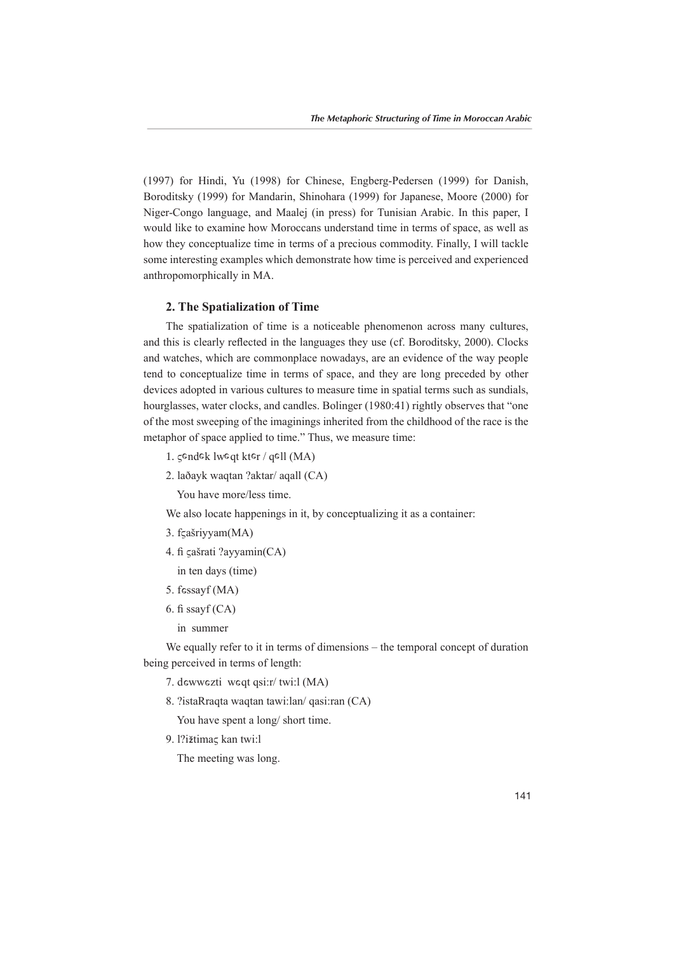(1997) for Hindi, Yu (1998) for Chinese, Engberg-Pedersen (1999) for Danish, Boroditsky (1999) for Mandarin, Shinohara (1999) for Japanese, Moore (2000) for Niger-Congo language, and Maalej (in press) for Tunisian Arabic. In this paper, I would like to examine how Moroccans understand time in terms of space, as well as how they conceptualize time in terms of a precious commodity. Finally, I will tackle some interesting examples which demonstrate how time is perceived and experienced anthropomorphically in MA.

## **2. The Spatialization of Time**

The spatialization of time is a noticeable phenomenon across many cultures, and this is clearly reflected in the languages they use (cf. Boroditsky, 2000). Clocks and watches, which are commonplace nowadays, are an evidence of the way people tend to conceptualize time in terms of space, and they are long preceded by other devices adopted in various cultures to measure time in spatial terms such as sundials, hourglasses, water clocks, and candles. Bolinger (1980:41) rightly observes that "one of the most sweeping of the imaginings inherited from the childhood of the race is the metaphor of space applied to time." Thus, we measure time:

- 1. gendek lweqt kter / qell (MA)
- 2. laðayk waqtan ?aktar/ aqall (CA)

You have more/less time.

- We also locate happenings in it, by conceptualizing it as a container:
- 3. fçašriyyam (MA)
- 4. fi çašrati ?ayyamin (CA)
- in ten days (time)
- $5. f$  essay $f$  (MA)
- 6. fi ssayf  $(CA)$ 
	- in summer

We equally refer to it in terms of dimensions – the temporal concept of duration being perceived in terms of length:

- 7. dewwezti weqt qsi:r/twi:l (MA)
- 8. ?istaRraqta waqtan tawi:lan/ qasi:ran (CA)

You have spent a long/ short time.

9. l?ižtimaς kan twi:l

The meeting was long.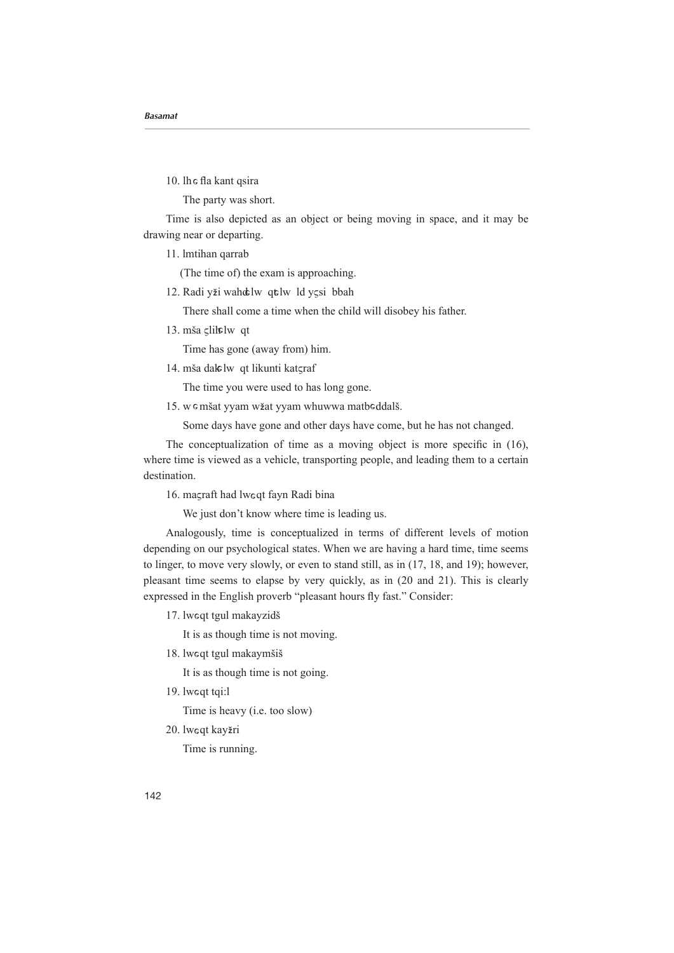10. Ih e fla kant qsira

The party was short.

Time is also depicted as an object or being moving in space, and it may be drawing near or departing.

11. lmtihan qarrab

(The time of) the exam is approaching.

12. Radi yži wahd lw qt lw ld ysi bbah

There shall come a time when the child will disobey his father.

13. mša <sub>5</sub>lih mjest

Time has gone (away from) him.

14. mša dalelw qt likunti katçraf

The time you were used to has long gone.

15. w e mšat yyam wžat yyam whuwwa matbeddalš.

Some days have gone and other days have come, but he has not changed.

The conceptualization of time as a moving object is more specific in  $(16)$ , where time is viewed as a vehicle, transporting people, and leading them to a certain destination.

16. maçraft had lweqt fayn Radi bina

We just don't know where time is leading us.

Analogously, time is conceptualized in terms of different levels of motion depending on our psychological states. When we are having a hard time, time seems to linger, to move very slowly, or even to stand still, as in  $(17, 18,$  and 19); however, pleasant time seems to elapse by very quickly, as in (20 and 21). This is clearly expressed in the English proverb "pleasant hours fly fast." Consider:

17. lweqt tgul makayzidš

It is as though time is not moving.

- 18. lweqt tgul makaymšiš
	- It is as though time is not going.
- 19. lweqt tqi:l
- Time is heavy (i.e. too slow)
- 20. lweqt kay<mark>žri</mark>

Time is running.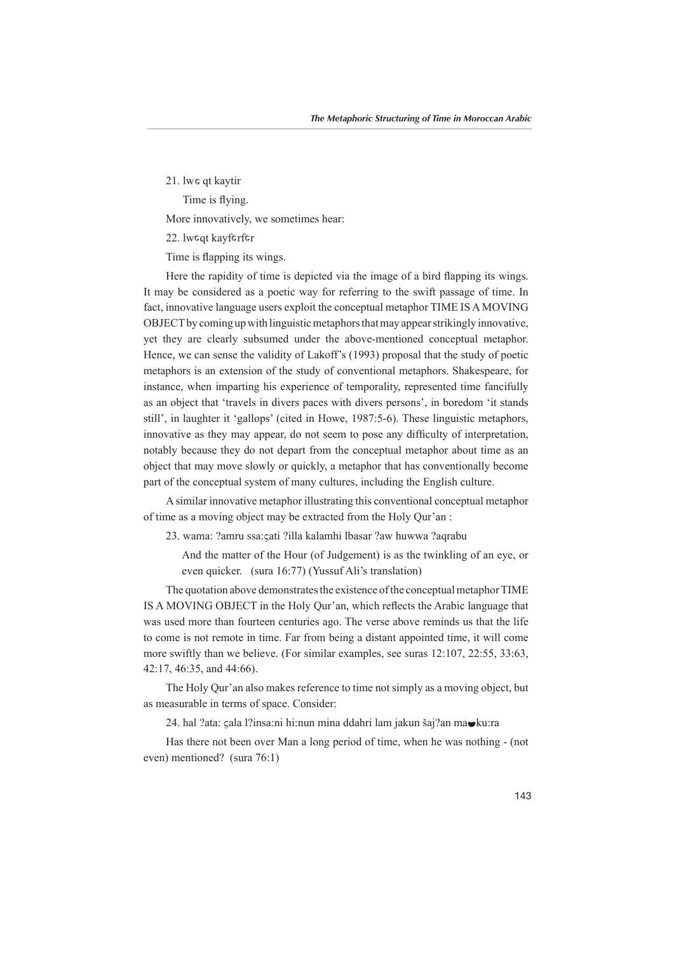21. Iwe qt kaytir

Time is flying.

More innovatively, we sometimes hear:

22. lweqt kayferfer

Time is flapping its wings.

Here the rapidity of time is depicted via the image of a bird flapping its wings. It may be considered as a poetic way for referring to the swift passage of time. In fact, innovative language users exploit the conceptual metaphor TIME IS A MOVING OBJECT by coming up with linguistic metaphors that may appear strikingly innovative, yet they are clearly subsumed under the above-mentioned conceptual metaphor. Hence, we can sense the validity of Lakoff's (1993) proposal that the study of poetic metaphors is an extension of the study of conventional metaphors. Shakespeare, for instance, when imparting his experience of temporality, represented time fancifully as an object that 'travels in divers paces with divers persons', in boredom 'it stands still', in laughter it 'gallops' (cited in Howe, 1987:5-6). These linguistic metaphors, innovative as they may appear, do not seem to pose any difficulty of interpretation, notably because they do not depart from the conceptual metaphor about time as an become conventionally has that may move slowly or quickly, a metaphor that has conventionally become part of the conceptual system of many cultures, including the English culture.

A similar innovative metaphor illustrating this conventional conceptual metaphor of time as a moving object may be extracted from the Holy Our'an:

- 23. wama: ?amru ssa:cati ?illa kalamhi Ibasar ?aw huwwa ?aqrabu
	- And the matter of the Hour (of Judgement) is as the twinkling of an eve, or even quicker. (sura  $16:77$ ) (Yussuf Ali's translation)

The quotation above demonstrates the existence of the conceptual metaphor TIME IS A MOVING OBJECT in the Holy Our'an, which reflects the Arabic language that was used more than fourteen centuries ago. The verse above reminds us that the life to come is not remote in time. Far from being a distant appointed time, it will come more swiftly than we believe. (For similar examples, see suras  $12:107$ ,  $22:55$ ,  $33:63$ , 42:17, 46:35, and 44:66).

The Holy Our'an also makes reference to time not simply as a moving object, but as measurable in terms of space. Consider:

24. hal ?ata: çala l?insa:ni hi:nun mina ddahri lam jakun šaj?an mavku:ra

Has there not been over Man a long period of time, when he was nothing - (not even) mentioned? (sura  $76:1$ )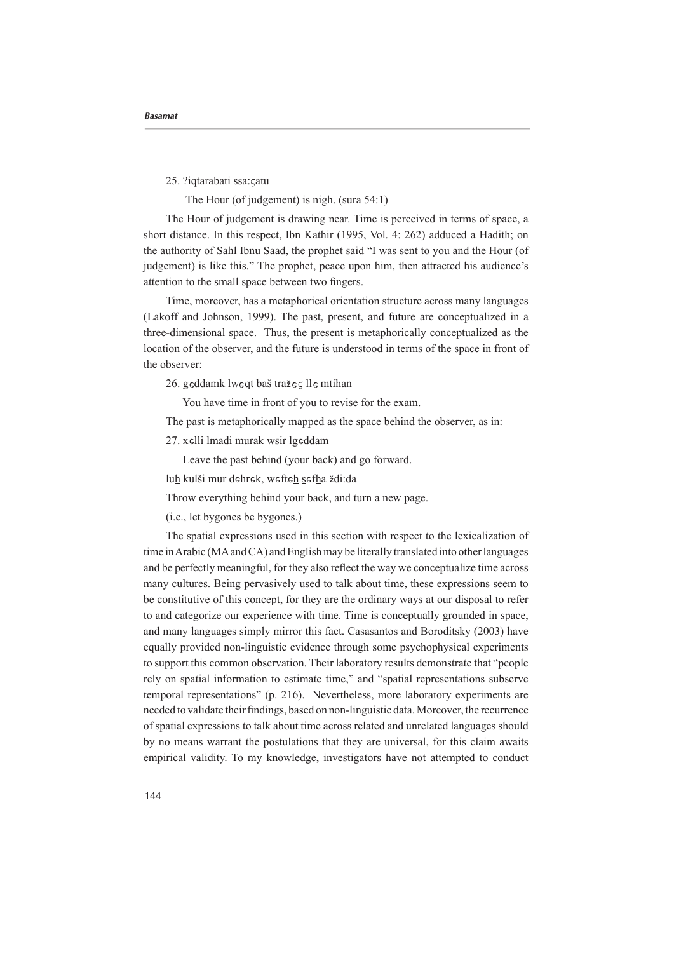25. ?iqtarabati ssa:catu

The Hour (of judgement) is nigh. (sura  $54:1$ )

The Hour of judgement is drawing near. Time is perceived in terms of space, a short distance. In this respect, Ibn Kathir  $(1995, Vol. 4: 262)$  adduced a Hadith; on the authority of Sahl Ibnu Saad, the prophet said "I was sent to you and the Hour (of judgement) is like this." The prophet, peace upon him, then attracted his audience's attention to the small space between two fingers.

Time, moreover, has a metaphorical orientation structure across many languages (Lakoff and Johnson, 1999). The past, present, and future are conceptualized in a three-dimensional space. Thus, the present is metaphorically conceptualized as the location of the observer, and the future is understood in terms of the space in front of the observer:

26. geddamk lweqt baš tražes lle mtihan

You have time in front of you to revise for the exam.

The past is metaphorically mapped as the space behind the observer, as in:

27. xelli lmadi murak wsir lgeddam

Leave the past behind (your back) and go forward.

lu<u>h</u> kulši mur dehrek, wefte<u>h s</u>ef<u>h</u>a <mark>ž</mark>di:da

Throw everything behind your back, and turn a new page.

 $(i.e., let bygones be bygones.)$ 

The spatial expressions used in this section with respect to the lexicalization of time in Arabic (MA and CA) and English may be literally translated into other languages and be perfectly meaningful, for they also reflect the way we conceptualize time across many cultures. Being pervasively used to talk about time, these expressions seem to be constitutive of this concept, for they are the ordinary ways at our disposal to refer to and categorize our experience with time. Time is conceptually grounded in space. and many languages simply mirror this fact. Casasantos and Boroditsky (2003) have equally provided non-linguistic evidence through some psychophysical experiments to support this common observation. Their laboratory results demonstrate that "people rely on spatial information to estimate time," and "spatial representations subserve temporal representations" (p. 216). Nevertheless, more laboratory experiments are needed to validate their findings, based on non-linguistic data. Moreover, the recurrence of spatial expressions to talk about time across related and unrelated languages should by no means warrant the postulations that they are universal, for this claim awaits empirical validity. To my knowledge, investigators have not attempted to conduct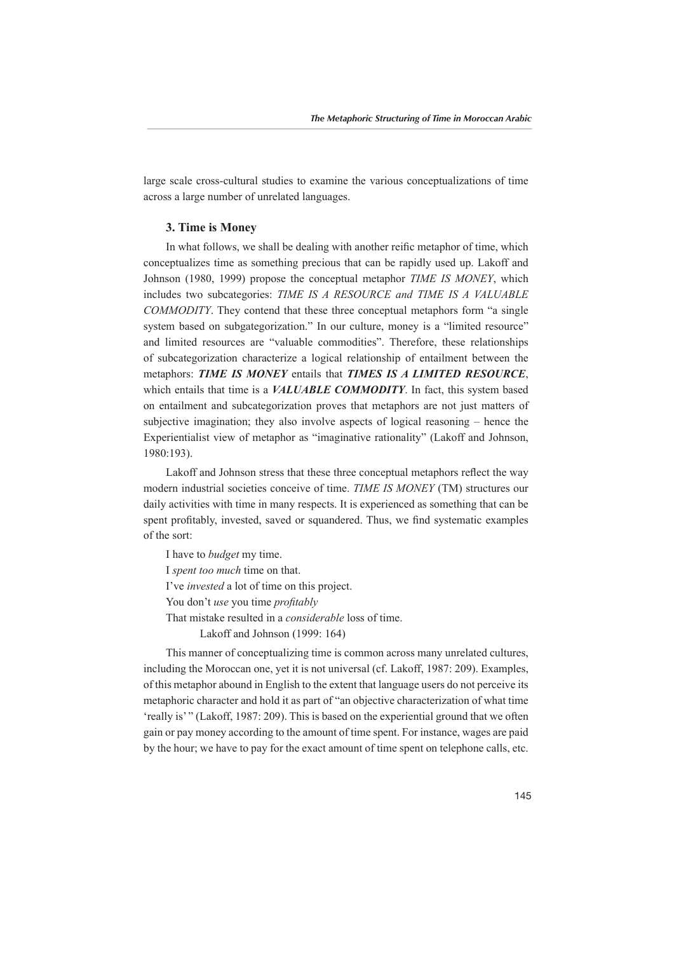large scale cross-cultural studies to examine the various conceptualizations of time across a large number of unrelated languages.

## **3. Time is Money**

In what follows, we shall be dealing with another reific metaphor of time, which conceptualizes time as something precious that can be rapidly used up. Lakoff and Johnson (1980, 1999) propose the conceptual metaphor TIME IS MONEY, which *includes two subcategories: TIME IS A RESOURCE and TIME IS A VALUABLE* COMMODITY. They contend that these three conceptual metaphors form "a single system based on subgategorization." In our culture, money is a "limited resource" and limited resources are "valuable commodities". Therefore, these relationships of subcategorization characterize a logical relationship of entailment between the metaphors: **TIME IS MONEY** entails that **TIMES IS A LIMITED RESOURCE**. which entails that time is a *VALUABLE COMMODITY*. In fact, this system based on entailment and subcategorization proves that metaphors are not just matters of subjective imagination; they also involve aspects of logical reasoning  $-$  hence the Experientialist view of metaphor as "imaginative rationality" (Lakoff and Johnson, 1980:193).

Lakoff and Johnson stress that these three conceptual metaphors reflect the way modern industrial societies conceive of time. TIME IS MONEY (TM) structures our daily activities with time in many respects. It is experienced as something that can be spent profitably, invested, saved or squandered. Thus, we find systematic examples of the sort:

I have to *budget* my time. I spent too much time on that. I've *invested* a lot of time on this project. *Proudon't use* you time *profitably* That mistake resulted in a *considerable* loss of time. Lakoff and Johnson  $(1999:164)$ 

This manner of conceptualizing time is common across many unrelated cultures. including the Moroccan one, yet it is not universal (cf. Lakoff, 1987: 209). Examples, of this metaphor abound in English to the extent that language users do not perceive its metaphoric character and hold it as part of "an objective characterization of what time 'really is'" (Lakoff, 1987: 209). This is based on the experiential ground that we often gain or pay money according to the amount of time spent. For instance, wages are paid by the hour; we have to pay for the exact amount of time spent on telephone calls, etc.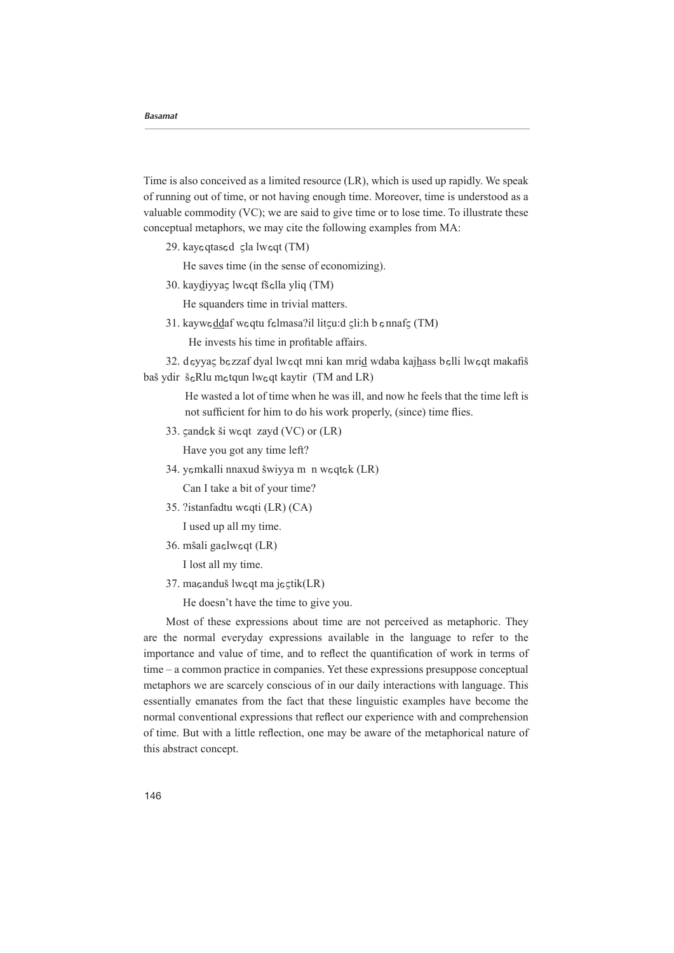Time is also conceived as a limited resource  $(LR)$ , which is used up rapidly. We speak of running out of time, or not having enough time. Moreover, time is understood as a valuable commodity  $(VC)$ ; we are said to give time or to lose time. To illustrate these conceptual metaphors, we may cite the following examples from MA:

29. kay eqtas ed sla lw eqt (TM)

He saves time (in the sense of economizing).

30. kaydiyyaç lweqt fšella yliq (TM)

He squanders time in trivial matters.

31. kayweddaf weqtu felmasa?il litgu:d gli:h b ennafg (TM)

He invests his time in profitable affairs.

32. deyyaç bezzaf dyal lweqt mni kan mrid wdaba kajhass belli lweqt makafiš baš ydir š<sub>s</sub>Rlu m tqun lw sqt kaytir (TM and LR)

> He wasted a lot of time when he was ill, and now he feels that the time left is not sufficient for him to do his work properly, (since) time flies.

33.  $\zeta$ and $\zeta$ k ši w $\zeta$ qt zayd (VC) or (LR)

Have you got any time left?

34. yemkalli nnaxud šwiyya m n weqtek (LR)

Can I take a bit of your time?

35. ?istanfadtu w eqti (LR) (CA)

I used up all my time.

36. mšali gaelweqt (LR)

I lost all my time.

37. maeanduš lweqt ma jestik(LR)

He doesn't have the time to give you.

Most of these expressions about time are not perceived as metaphoric. They are the normal everyday expressions available in the language to refer to the importance and value of time, and to reflect the quantification of work in terms of  $time - a$  common practice in companies. Yet these expressions presuppose conceptual metaphors we are scarcely conscious of in our daily interactions with language. This essentially emanates from the fact that these linguistic examples have become the normal conventional expressions that reflect our experience with and comprehension of time. But with a little reflection, one may be aware of the metaphorical nature of this abstract concept.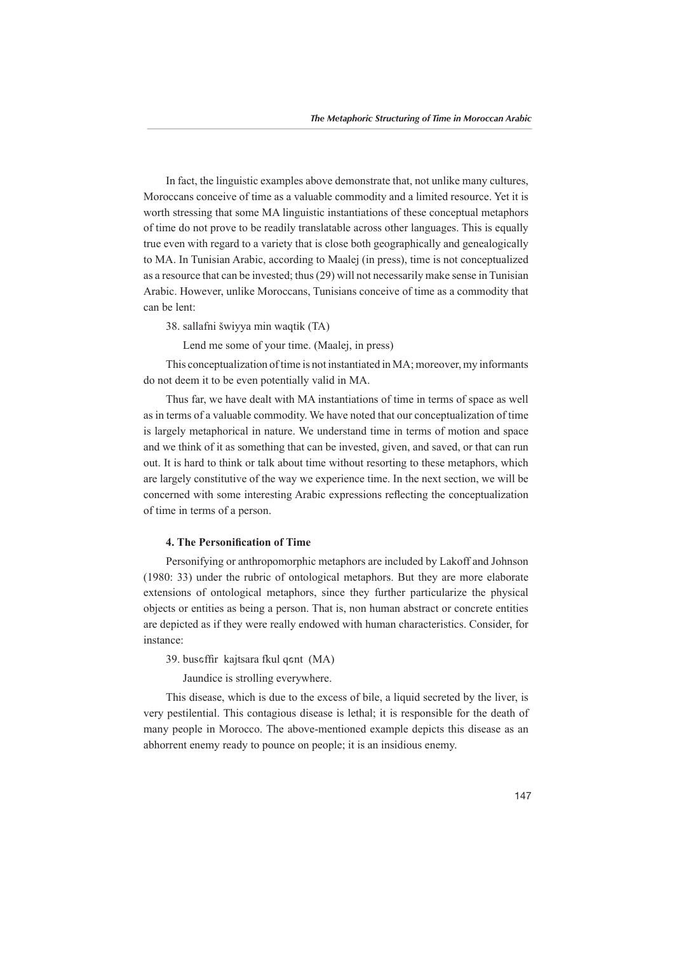In fact, the linguistic examples above demonstrate that, not unlike many cultures, Moroccans conceive of time as a valuable commodity and a limited resource. Yet it is worth stressing that some MA linguistic instantiations of these conceptual metaphors of time do not prove to be readily translatable across other languages. This is equally true even with regard to a variety that is close both geographically and genealogically to MA. In Tunisian Arabic, according to Maalej (in press), time is not conceptualized as a resource that can be invested; thus (29) will not necessarily make sense in Tunisian Arabic. However, unlike Moroccans, Tunisians conceive of time as a commodity that can be lent:

38. sallafni šwiyya min waqtik (TA)

Lend me some of your time. (Maalej, in press)

This conceptualization of time is not instantiated in MA; moreover, my informants do not deem it to be even potentially valid in MA.

Thus far, we have dealt with MA instantiations of time in terms of space as well as in terms of a valuable commodity. We have noted that our conceptualization of time is largely metaphorical in nature. We understand time in terms of motion and space and we think of it as something that can be invested, given, and saved, or that can run out. It is hard to think or talk about time without resorting to these metaphors, which are largely constitutive of the way we experience time. In the next section, we will be concerned with some interesting Arabic expressions reflecting the conceptualization of time in terms of a person.

### **4. The Personification of Time**

Personifying or anthropomorphic metaphors are included by Lakoff and Johnson  $(1980: 33)$  under the rubric of ontological metaphors. But they are more elaborate extensions of ontological metaphors, since they further particularize the physical objects or entities as being a person. That is, non human abstract or concrete entities are depicted as if they were really endowed with human characteristics. Consider, for instance:

39. buseffir kajtsara fkul qent (MA)

Jaundice is strolling everywhere.

This disease, which is due to the excess of bile, a liquid secreted by the liver, is very pestilential. This contagious disease is lethal; it is responsible for the death of many people in Morocco. The above-mentioned example depicts this disease as an abhorrent enemy ready to pounce on people; it is an insidious enemy.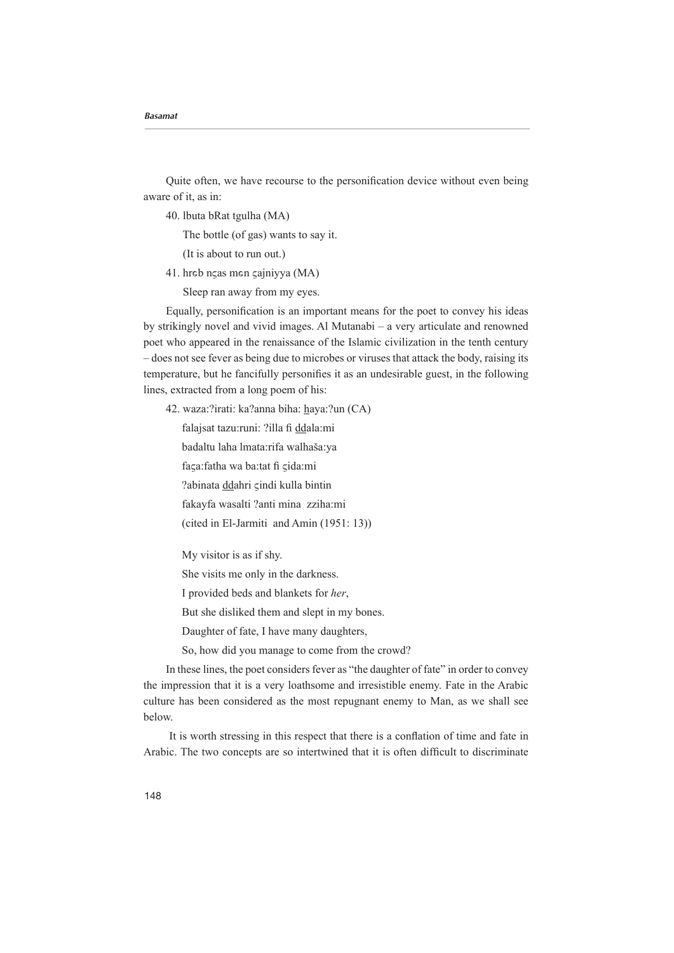Quite often, we have recourse to the personification device without even being aware of it, as in:

40. Ibuta bRat tgulha (MA)

The bottle (of gas) wants to say it.

(It is about to run out.)

41. hreb ngas men gajniyya (MA)

Sleep ran away from my eyes.

Equally, personification is an important means for the poet to convey his ideas by strikingly novel and vivid images. Al Mutanabi – a very articulate and renowned poet who appeared in the renaissance of the Islamic civilization in the tenth century  $\sim$  does not see fever as being due to microbes or viruses that attack the body, raising its temperature, but he fancifully personifies it as an undesirable guest, in the following lines, extracted from a long poem of his:

42. waza:?irati: ka?anna biha: haya:?un (CA)

falajsat tazu:runi: ?illa fi ddala:mi

badaltu laha lmata:rifa walhaša:ya

faça:fatha wa ba:tat fi cida:mi

?abinata ddahri çindi kulla bintin

fakayfa wasalti ?anti mina zziha:mi

(cited in El-Jarmiti and Amin  $(1951:13)$ )

My visitor is as if shy.

She visits me only in the darkness.

I provided beds and blankets for her.

But she disliked them and slept in my bones.

Daughter of fate, I have many daughters,

So, how did you manage to come from the crowd?

In these lines, the poet considers fever as "the daughter of fate" in order to convey the impression that it is a very loathsome and irresistible enemy. Fate in the Arabic culture has been considered as the most repugnant enemy to Man, as we shall see .below

It is worth stressing in this respect that there is a conflation of time and fate in Arabic. The two concepts are so intertwined that it is often difficult to discriminate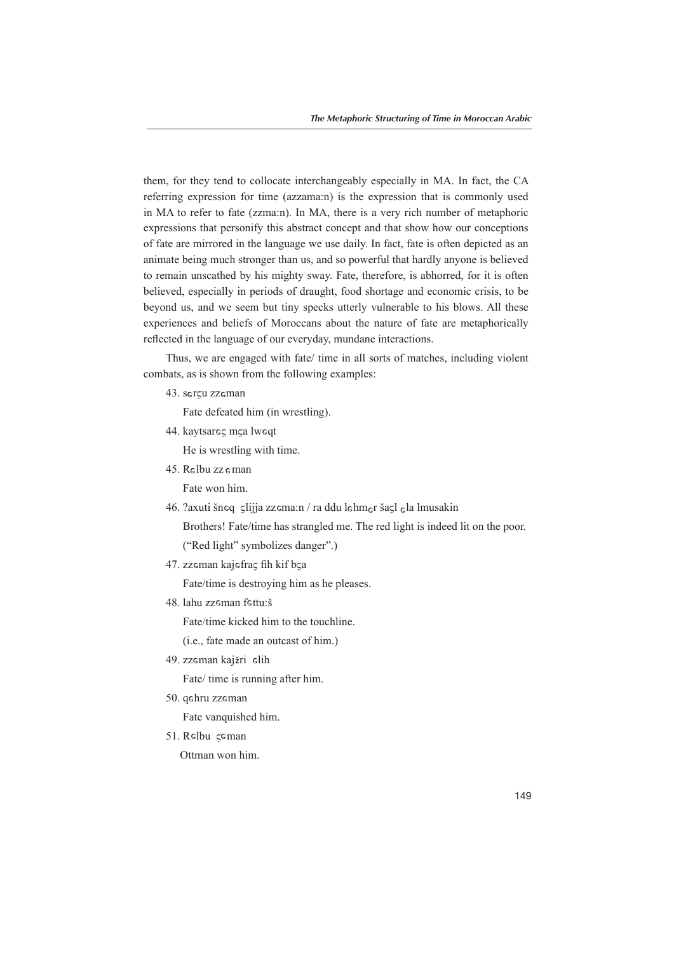them, for they tend to collocate interchangeably especially in MA. In fact, the CA referring expression for time ( $azzama:n$ ) is the expression that is commonly used in MA to refer to fate (zzma:n). In MA, there is a very rich number of metaphoric expressions that personify this abstract concept and that show how our conceptions of fate are mirrored in the language we use daily. In fact, fate is often depicted as an animate being much stronger than us, and so powerful that hardly anyone is believed to remain unscathed by his mighty sway. Fate, therefore, is abhorred, for it is often believed, especially in periods of draught, food shortage and economic crisis, to be beyond us, and we seem but tiny specks utterly vulnerable to his blows. All these experiences and beliefs of Moroccans about the nature of fate are metaphorically reflected in the language of our everyday, mundane interactions.

Thus, we are engaged with fate/ time in all sorts of matches, including violent combats, as is shown from the following examples:

43. serçu zzeman

Fate defeated him (in wrestling).

44. kaytsareς m<mark>ça lweq</mark>t

He is wrestling with time.

45. Relbu zz eman

Fate won him.

46. ?axuti šneq slijja zzema:n / ra ddu lehmer šasl ela lmusakin

Brothers! Fate/time has strangled me. The red light is indeed lit on the poor.

("Red light" symbolizes danger".)

47. zzeman kajefra<mark>ç fih kif b</mark>ça

Fate/time is destroying him as he pleases.

48. lahu zz man fettu:š

Fate/time kicked him to the touchline.

 $(i.e.,$  fate made an outcast of him.)

49. zzeman kaj<mark>žri</mark> elih

Fate/ time is running after him.

50. qehru zzeman

Fate vanquished him.

51. Relbu çeman Ottman won him.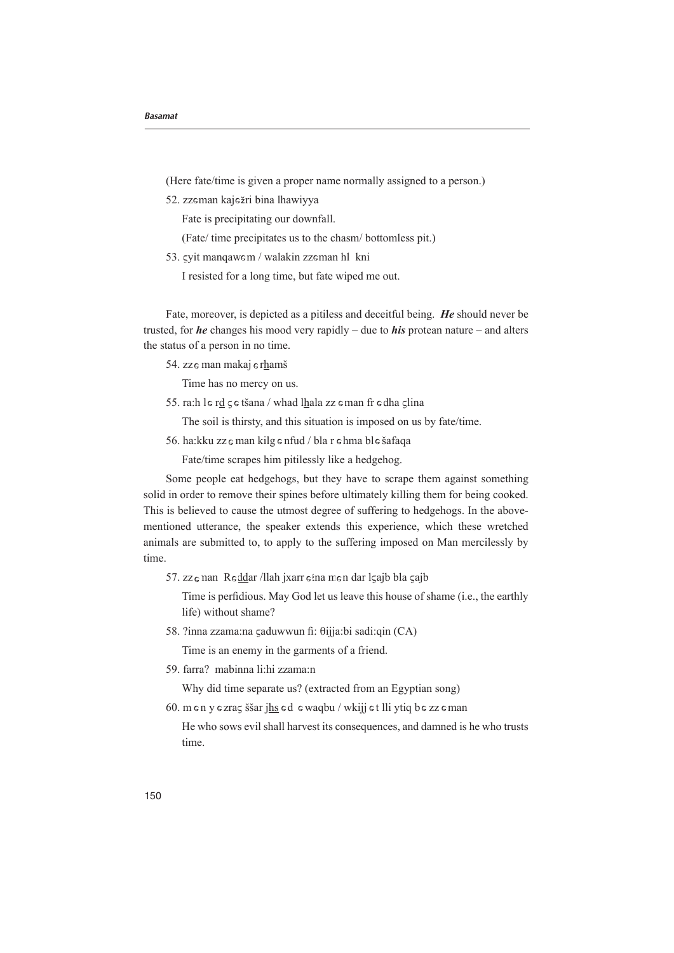(Here fate/time is given a proper name normally assigned to a person.)

52. zzeman kaježri bina lhawiyya

Fate is precipitating our downfall.

(Fate/ time precipitates us to the chasm/ bottomless pit.)

53. gyit manqawem / walakin zzeman hl kni

I resisted for a long time, but fate wiped me out.

Fate, moreover, is depicted as a pitiless and deceitful being. He should never be trusted, for *he* changes his mood very rapidly – due to *his* protean nature – and alters the status of a person in no time.

54. zz e man makaj e rhamš

Time has no mercy on us.

55. ra:h le r<u>d</u>  $\zeta$ e tšana / whad l<u>h</u>ala zz eman fr edha  $\zeta$ lina

The soil is thirsty, and this situation is imposed on us by fate/time.

56. ha:kku zz e man kilg e nfud / bla r e hma ble šafaqa

Fate/time scrapes him pitilessly like a hedgehog.

Some people eat hedgehogs, but they have to scrape them against something solid in order to remove their spines before ultimately killing them for being cooked. mentioned utterance, the speaker extends this experience, which these wretched This is believed to cause the utmost degree of suffering to hedgehogs. In the aboveanimals are submitted to, to apply to the suffering imposed on Man mercilessly by time.

57. zzenan Reddar /llah jxarr eina men dar lçajb bla çajb

Time is perfidious. May God let us leave this house of shame (i.e., the earthly life) without shame?

58. ?inna zzama:na ςaduwwun fi: θijja:bi sadi:qin (CA)

Time is an enemy in the garments of a friend.

59. farra? mabinna li:hi zzama:n

Why did time separate us? (extracted from an Egyptian song)

60. m e n y e zraç ššar <u>jhs</u> e d e waqbu / wkijj e t lli ytiq b e zz e man

He who sows evil shall harvest its consequences, and damned is he who trusts time.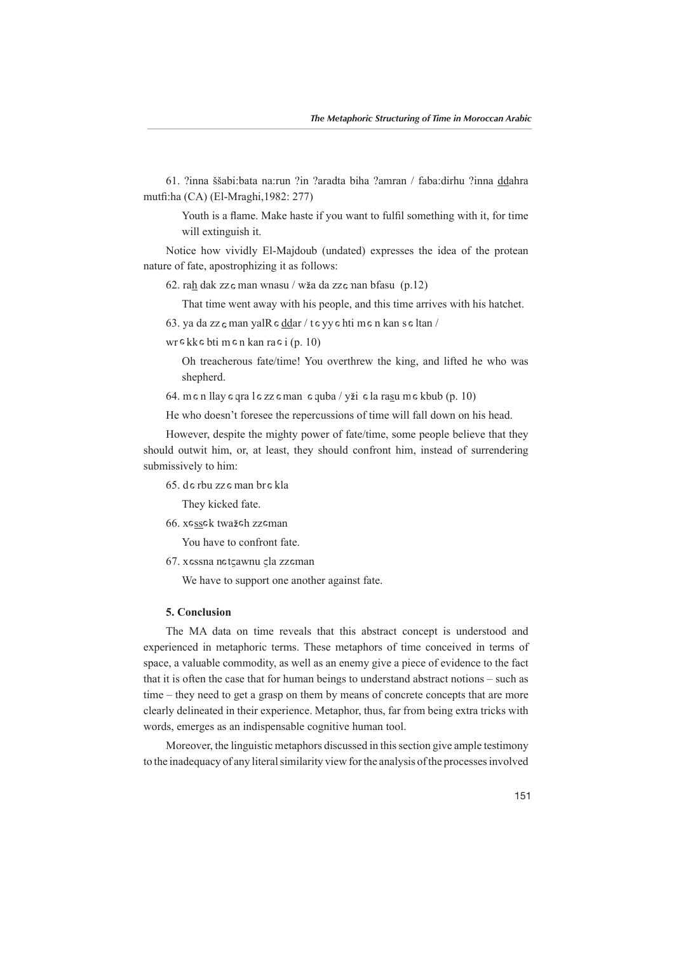61. ?inna ššabi:bata na:run ?in ?aradta biha ?amran / faba:dirhu ?inna ddahra mutfi:ha (CA) (El-Mraghi, 1982: 277)

Youth is a flame. Make haste if you want to fulfil something with it, for time will extinguish it.

Notice how vividly El-Majdoub (undated) expresses the idea of the protean nature of fate, apostrophizing it as follows:

62. rah dak zz e man wnasu / wža da zz e man bfasu  $(p.12)$ 

That time went away with his people, and this time arrives with his hatchet.

63. ya da zz $\epsilon$  man yal $R \epsilon$  ddar / t $\epsilon$  yy $\epsilon$  hti m $\epsilon$  n kan s $\epsilon$  ltan /

 $wr$   $\epsilon$  kk  $\epsilon$  bti m  $\epsilon$  n kan ra  $\epsilon$  i (p. 10)

Oh treacherous fate/time! You overthrew the king, and lifted he who was shepherd.

64. m e n llay e qra l e zz e man e quba / yži e la ra $\leq$ u m e kbub  $(p. 10)$ 

He who doesn't foresee the repercussions of time will fall down on his head.

However, despite the mighty power of fate/time, some people believe that they should outwit him, or, at least, they should confront him, instead of surrendering submissively to him:

65. de rbu zze man bre kla

They kicked fate.

66. xe<u>ss</u>ek twa<mark>žeh</mark> zzeman

You have to confront fate.

67. xessna netçawnu çla zzeman

We have to support one another against fate.

### **Conclusion 5.**

The MA data on time reveals that this abstract concept is understood and experienced in metaphoric terms. These metaphors of time conceived in terms of space, a valuable commodity, as well as an enemy give a piece of evidence to the fact that it is often the case that for human beings to understand abstract notions – such as time – they need to get a grasp on them by means of concrete concepts that are more clearly delineated in their experience. Metaphor, thus, far from being extra tricks with words, emerges as an indispensable cognitive human tool.

Moreover, the linguistic metaphors discussed in this section give ample testimony to the inadequacy of any literal similarity view for the analysis of the processes involved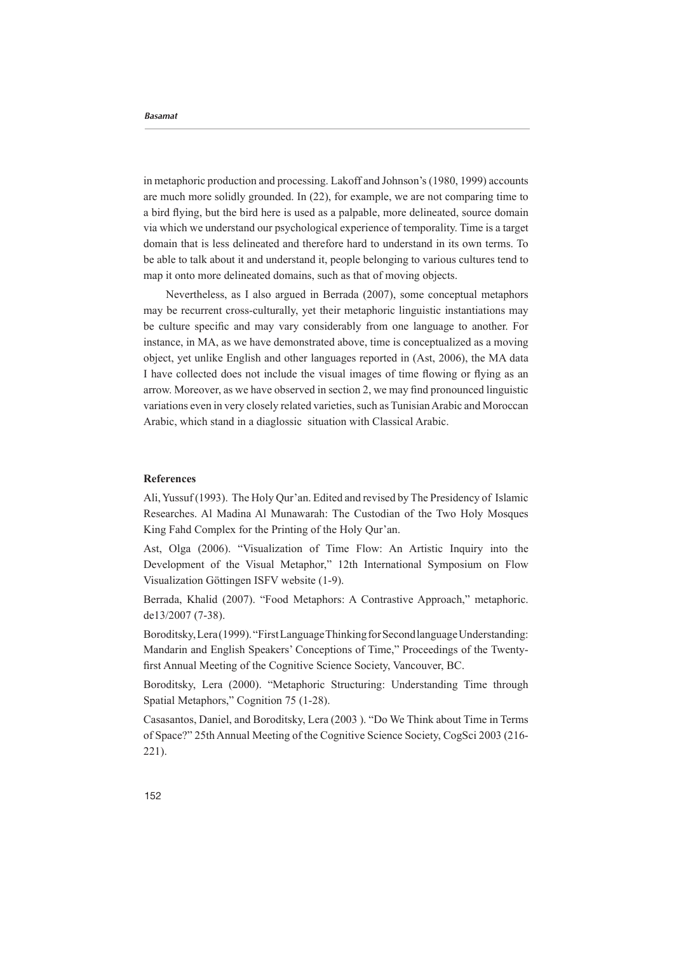in metaphoric production and processing. Lakoff and Johnson's (1980, 1999) accounts are much more solidly grounded. In  $(22)$ , for example, we are not comparing time to a bird flying, but the bird here is used as a palpable, more delineated, source domain via which we understand our psychological experience of temporality. Time is a target domain that is less delineated and therefore hard to understand in its own terms. To be able to talk about it and understand it, people belonging to various cultures tend to map it onto more delineated domains, such as that of moving objects.

Nevertheless, as I also argued in Berrada (2007), some conceptual metaphors may be recurrent cross-culturally, yet their metaphoric linguistic instantiations may be culture specific and may vary considerably from one language to another. For instance, in MA, as we have demonstrated above, time is conceptualized as a moving object, yet unlike English and other languages reported in (Ast, 2006), the MA data I have collected does not include the visual images of time flowing or flying as an arrow. Moreover, as we have observed in section 2, we may find pronounced linguistic variations even in very closely related varieties, such as Tunisian Arabic and Moroccan Arabic, which stand in a diaglossic situation with Classical Arabic.

### **References**

Ali, Yussuf (1993). The Holy Qur'an. Edited and revised by The Presidency of Islamic Researches. Al Madina Al Munawarah: The Custodian of the Two Holy Mosques King Fahd Complex for the Printing of the Holy Qur'an.

Ast, Olga (2006). "Visualization of Time Flow: An Artistic Inquiry into the Development of the Visual Metaphor," 12th International Symposium on Flow Visualization Göttingen ISFV website (1-9).

Berrada, Khalid (2007). "Food Metaphors: A Contrastive Approach," metaphoric. de13/2007 (7-38).

Boroditsky, Lera (1999). "First Language Thinking for Second language Understanding: Mandarin and English Speakers' Conceptions of Time," Proceedings of the Twenty-<br>first Annual Meeting of the Cognitive Science Society, Vancouver, BC.

Boroditsky, Lera (2000). "Metaphoric Structuring: Understanding Time through Spatial Metaphors," Cognition 75 (1-28).

Casasantos, Daniel, and Boroditsky, Lera (2003). "Do We Think about Time in Terms of Space?" 25th Annual Meeting of the Cognitive Science Society, CogSci 2003 (216- $221$ ).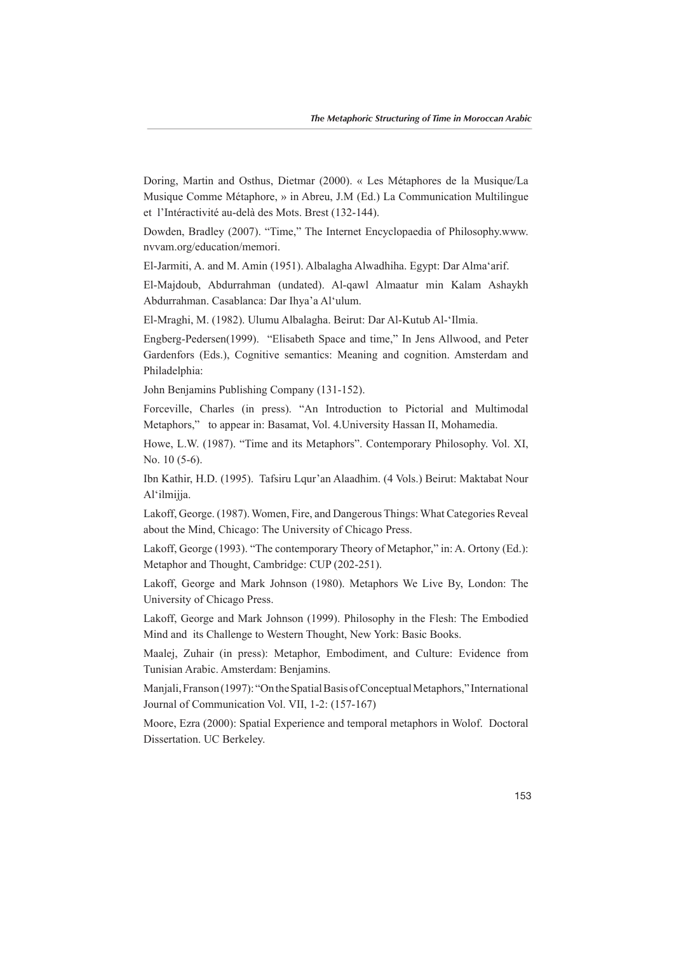Doring, Martin and Osthus, Dietmar (2000). « Les Métaphores de la Musique/La Musique Comme Métaphore, » in Abreu, J.M (Ed.) La Communication Multilingue et l'Intéractivité au-delà des Mots. Brest (132-144).

Dowden, Bradley (2007). "Time," The Internet Encyclopaedia of Philosophy www. nvvam.org/education/memori.

El-Jarmiti, A. and M. Amin (1951). Albalagha Alwadhiha. Egypt: Dar Alma'arif.

El-Majdoub, Abdurrahman (undated). Al-qawl Almaatur min Kalam Ashaykh Abdurrahman. Casablanca: Dar Ihya'a Al'ulum.

El-Mraghi, M. (1982). Ulumu Albalagha. Beirut: Dar Al-Kutub Al-'Ilmia.

Engberg-Pedersen(1999). "Elisabeth Space and time," In Jens Allwood, and Peter Gardenfors (Eds.), Cognitive semantics: Meaning and cognition. Amsterdam and :Philadelphia

John Benjamins Publishing Company (131-152).

Forceville. Charles (in press). "An Introduction to Pictorial and Multimodal Metaphors," to appear in: Basamat, Vol. 4. University Hassan II, Mohamedia.

Howe, L.W. (1987). "Time and its Metaphors". Contemporary Philosophy. Vol. XI, No.  $10$   $(5-6)$ .

Ibn Kathir, H.D. (1995). Tafsiru Lqur'an Alaadhim. (4 Vols.) Beirut: Maktabat Nour Al'ilmijia.

Lakoff, George. (1987). Women, Fire, and Dangerous Things: What Categories Reveal about the Mind, Chicago: The University of Chicago Press.

Lakoff, George (1993). "The contemporary Theory of Metaphor," in: A. Ortony (Ed.): Metaphor and Thought, Cambridge: CUP (202-251).

Lakoff, George and Mark Johnson (1980). Metaphors We Live By, London: The University of Chicago Press.

Lakoff, George and Mark Johnson (1999). Philosophy in the Flesh: The Embodied Mind and its Challenge to Western Thought, New York: Basic Books.

Maalei, Zuhair (in press): Metaphor, Embodiment, and Culture: Evidence from Tunisian Arabic. Amsterdam: Benjamins.

Maniali, Franson (1997): "On the Spatial Basis of Conceptual Metaphors," International Journal of Communication Vol. VII, 1-2: (157-167)

Moore, Ezra (2000): Spatial Experience and temporal metaphors in Wolof. Doctoral Dissertation. UC Berkeley.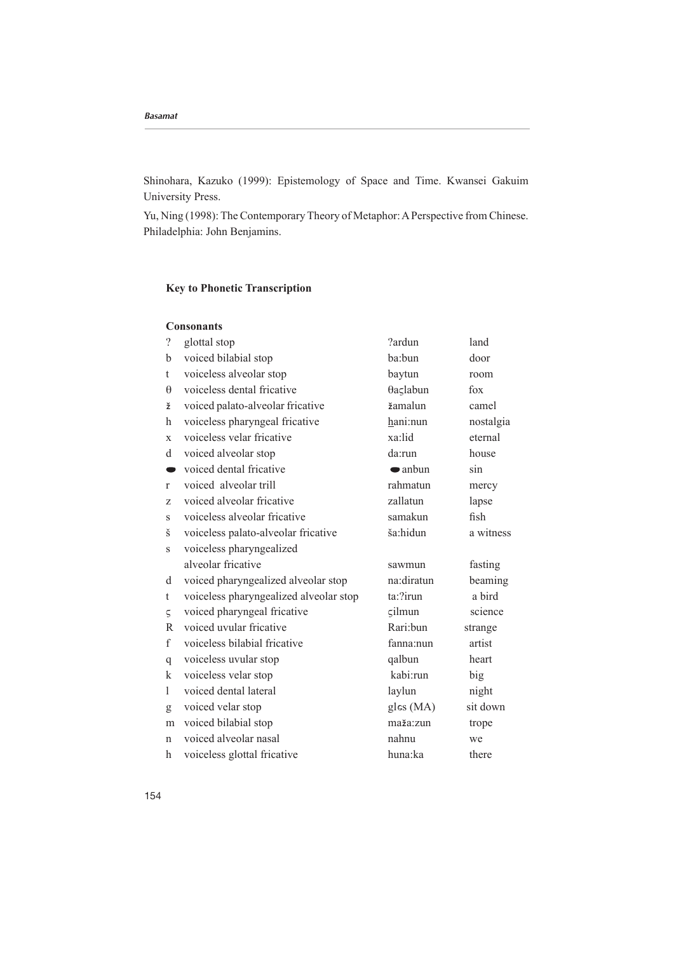Shinohara, Kazuko (1999): Epistemology of Space and Time. Kwansei Gakuim University Press.

Yu, Ning (1998): The Contemporary Theory of Metaphor: A Perspective from Chinese. Philadelphia: John Benjamins.

# **Key to Phonetic Transcription**

| <b>Consonants</b> |              |  |  |  |  |
|-------------------|--------------|--|--|--|--|
| റ                 | بمطم امططمأم |  |  |  |  |

| $\gamma$     | glottal stop                           | ?ardun            | land                          |
|--------------|----------------------------------------|-------------------|-------------------------------|
| b            | voiced bilabial stop                   | ba:bun            | door                          |
| t            | voiceless alveolar stop                | baytun            | room                          |
| $\theta$     | voiceless dental fricative             | θaςlabun          | $f$ <sup>o</sup> $\mathbf{x}$ |
| ž            | voiced palato-alveolar fricative       | žamalun           | camel                         |
| h            | voiceless pharyngeal fricative         | hani:nun          | nostalgia                     |
| $\mathbf{X}$ | voiceless velar fricative              | xa:lid            | eternal                       |
| d            | voiced alveolar stop                   | da:run            | house                         |
| $\bullet$    | voiced dental fricative                | $\bullet$ anbun   | sin                           |
| r            | voiced alveolar trill                  | rahmatun          | mercy                         |
| Z            | voiced alveolar fricative              | zallatun          | lapse                         |
| S            | voiceless alveolar fricative           | samakun           | fish                          |
| š            | voiceless palato-alveolar fricative    | ša:hidun          | a witness                     |
| S            | voiceless pharyngealized               |                   |                               |
|              | alveolar fricative                     | sawmun            | fasting                       |
| d            | voiced pharyngealized alveolar stop    | na:diratun        | beaming                       |
| t            | voiceless pharyngealized alveolar stop | $ta$ :?irun       | a bird                        |
| $\varsigma$  | voiced pharyngeal fricative            | $\varsigma$ ilmun | science                       |
| R            | voiced uvular fricative                | Rari:bun          | strange                       |
| $\mathbf{f}$ | voiceless bilabial fricative           | fanna:nun         | artist                        |
| q            | voiceless uvular stop                  | qalbun            | heart                         |
| k            | voiceless velar stop                   | kabi:run          | big                           |
| 1            | voiced dental lateral                  | laylun            | night                         |
| g            | voiced velar stop                      | gles (MA)         | sit down                      |
| m            | voiced bilabial stop                   | maža:zun          | trope                         |
| $\mathsf{n}$ | voiced alveolar nasal                  | nahnu             | we                            |
| h            | voiceless glottal fricative            | huna:ka           | there                         |